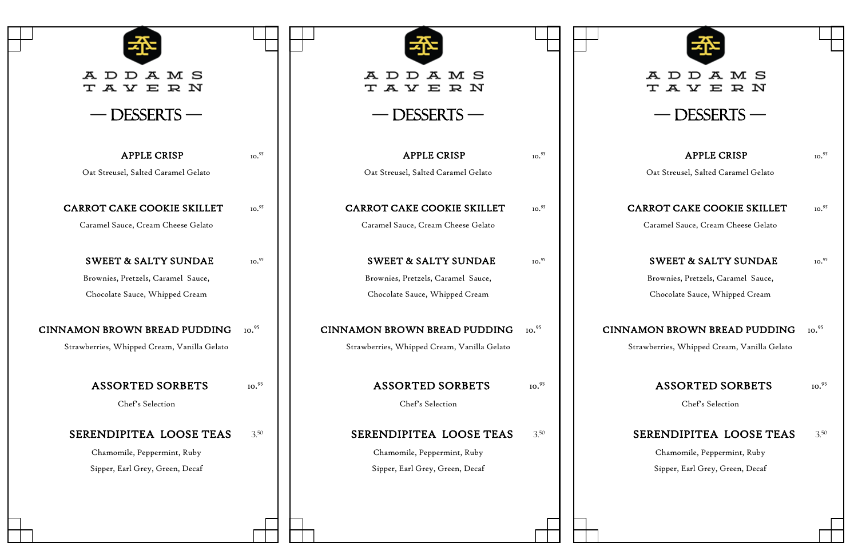| A M S<br>A D<br>D<br>TAYERN                 |                   | A M S<br>A D<br>⊥<br>T A Y E R N            |                   |               |
|---------------------------------------------|-------------------|---------------------------------------------|-------------------|---------------|
| — DESSERTS                                  |                   | DESSERTS-                                   |                   |               |
| <b>APPLE CRISP</b>                          | 10. <sup>95</sup> | <b>APPLE CRISP</b>                          | 10. <sup>95</sup> |               |
| Oat Streusel, Salted Caramel Gelato         |                   | Oat Streusel, Salted Caramel Gelato         |                   |               |
| CARROT CAKE COOKIE SKILLET                  | 10.95             | CARROT CAKE COOKIE SKILLET                  | 10. <sup>95</sup> | CAI           |
| Caramel Sauce, Cream Cheese Gelato          |                   | Caramel Sauce, Cream Cheese Gelato          |                   |               |
| <b>SWEET &amp; SALTY SUNDAE</b>             | 10.95             | <b>SWEET &amp; SALTY SUNDAE</b>             | 10. <sup>95</sup> |               |
| Brownies, Pretzels, Caramel Sauce,          |                   | Brownies, Pretzels, Caramel Sauce,          |                   |               |
| Chocolate Sauce, Whipped Cream              |                   | Chocolate Sauce, Whipped Cream              |                   |               |
| CINNAMON BROWN BREAD PUDDING                | 10. <sup>95</sup> | CINNAMON BROWN BREAD PUDDING                | 10. <sup>95</sup> | <b>CINNAM</b> |
| Strawberries, Whipped Cream, Vanilla Gelato |                   | Strawberries, Whipped Cream, Vanilla Gelato |                   | Stray         |
| <b>ASSORTED SORBETS</b>                     | IO.95             | <b>ASSORTED SORBETS</b>                     | 10. <sup>95</sup> |               |
| Chef's Selection                            |                   | Chef's Selection                            |                   |               |
|                                             |                   |                                             |                   |               |
| SERENDIPITEA LOOSE TEAS                     | 3.50              | SERENDIPITEA LOOSE TEAS                     | 3.50              | <b>SE</b>     |
| Chamomile, Peppermint, Ruby                 |                   | Chamomile, Peppermint, Ruby                 |                   |               |
| Sipper, Earl Grey, Green, Decaf             |                   | Sipper, Earl Grey, Green, Decaf             |                   |               |
|                                             |                   |                                             |                   |               |
|                                             |                   |                                             |                   |               |
|                                             |                   |                                             |                   |               |



# A D D A M S<br>T A Y E R N

 $-$  DESSERTS  $-$ 

| <b>APPLE CRISP</b>                          | IO.95             |
|---------------------------------------------|-------------------|
| Oat Streusel, Salted Caramel Gelato         |                   |
|                                             |                   |
| <b>CARROT CAKE COOKIE SKILLET</b>           | 10.95             |
| Caramel Sauce, Cream Cheese Gelato          |                   |
| <b>SWEET &amp; SALTY SUNDAE</b>             | 10.95             |
| Brownies, Pretzels, Caramel Sauce,          |                   |
| Chocolate Sauce, Whipped Cream              |                   |
|                                             |                   |
| <b>CINNAMON BROWN BREAD PUDDING</b>         | 10. <sup>95</sup> |
| Strawberries, Whipped Cream, Vanilla Gelato |                   |
|                                             |                   |
| <b>ASSORTED SORBETS</b>                     | IO.95             |
| Chef's Selection                            |                   |
| SERENDIPITEA LOOSE TEAS                     | 3.50              |
| Chamomile, Peppermint, Ruby                 |                   |
|                                             |                   |
| Sipper, Earl Grey, Green, Decaf             |                   |
|                                             |                   |
|                                             |                   |